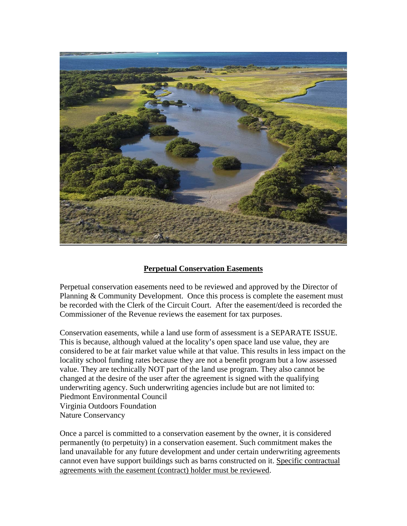

## **Perpetual Conservation Easements**

Perpetual conservation easements need to be reviewed and approved by the Director of Planning & Community Development. Once this process is complete the easement must be recorded with the Clerk of the Circuit Court. After the easement/deed is recorded the Commissioner of the Revenue reviews the easement for tax purposes.

Conservation easements, while a land use form of assessment is a SEPARATE ISSUE. This is because, although valued at the locality's open space land use value, they are considered to be at fair market value while at that value. This results in less impact on the locality school funding rates because they are not a benefit program but a low assessed value. They are technically NOT part of the land use program. They also cannot be changed at the desire of the user after the agreement is signed with the qualifying underwriting agency. Such underwriting agencies include but are not limited to: Piedmont Environmental Council Virginia Outdoors Foundation Nature Conservancy

Once a parcel is committed to a conservation easement by the owner, it is considered permanently (to perpetuity) in a conservation easement. Such commitment makes the land unavailable for any future development and under certain underwriting agreements cannot even have support buildings such as barns constructed on it. Specific contractual agreements with the easement (contract) holder must be reviewed.